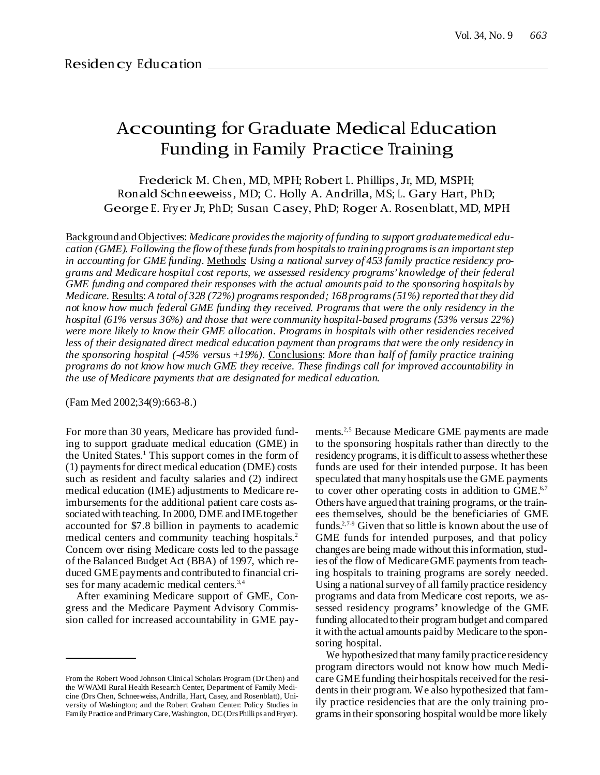# Accounting for Graduate Medical Education Funding in Family Practice Training

Frederick M. Chen, MD, MPH; Robert L. Phillips, Jr, MD, MSPH; Ronald Schneeweiss, MD; C. Holly A. Andrilla, MS; L. Gary Hart, PhD; GeorgeE. Fryer Jr, PhD; Susan Casey, PhD; Roger A. Rosenblatt, MD, MPH

Background andObjectives: *Medicare providesthe majority of funding to support graduatemedical education (GME). Following the flowof these fundsfrom hospitalsto training programsis an importantstep in accounting for GME funding.* Methods: *Using a national survey of 453 family practice residency programs and Medicare hospital cost reports, we assessed residency programs' knowledge of their federal GME funding and compared their responses with the actual amounts paid to the sponsoring hospitals by Medicare.* Results: *A total of 328 (72%) programsresponded; 168 programs(51%) reported that they did not know how much federal GME funding they received. Programs that were the only residency in the hospital (61% versus 36%) and those that were community hospital-based programs (53% versus 22%) were more likely to know their GME allocation. Programs in hospitals with other residencies received less of their designated direct medical education payment than programs that were the only residency in the sponsoring hospital (-45% versus* +*19%).* Conclusions: *More than half of family practice training programs do not know how much GME they receive. These findings call for improved accountability in the use of Medicare payments that are designated for medical education.*

(Fam Med 2002;34(9):663-8.)

For more than 30 years, Medicare has provided funding to support graduate medical education (GME) in the United States. <sup>1</sup> This support comes in the form of (1) paymentsfor direct medical education (DME) costs such as resident and faculty salaries and (2) indirect medical education (IME) adjustments to Medicare reimbursements for the additional patient care costs associated with teaching. In 2000, DME and IME together accounted for \$7.8 billion in payments to academic medical centers and community teaching hospitals. 2 Concern over rising Medicare costs led to the passage of the Balanced Budget Act (BBA) of 1997, which reduced GMEpayments and contributed to financial crises for many academic medical centers.<sup>3,4</sup>

After examining Medicare support of GME, Congress and the Medicare Payment Advisory Commission called for increased accountability in GME pay-

ments.<sup>2,5</sup> Because Medicare GME payments are made to the sponsoring hospitals rather than directly to the residency programs, it is difficult to assess whether these funds are used for their intended purpose. It has been speculated that many hospitals use the GME payments to cover other operating costs in addition to GME.<sup>6,7</sup> Others have argued that training programs, or the trainees themselves, should be the beneficiaries of GME funds.<sup>2,7-9</sup> Given that so little is known about the use of GME funds for intended purposes, and that policy changes are being made without thisinformation, studies of the flow of Medicare GME payments from teaching hospitals to training programs are sorely needed. Using a national survey of all family practice residency programs and data from Medicare cost reports, we assessed residency programs' knowledge of the GME funding allocated to their programbudget and compared it with the actual amounts paid by Medicare to the sponsoring hospital.

We hypothesized that many family practiceresidency program directors would not know how much Medicare GME funding their hospitals received for the residents in their program. We also hypothesized that family practice residencies that are the only training programsin their sponsoring hospital would be more likely

From the Robert Wood Johnson Clinical Scholars Program (Dr Chen) and the WWAMI Rural Health Research Center, Department of Family Medicine (Drs Chen, Schneeweiss,Andrilla, Hart, Casey, and Rosenblatt), University of Washington; and the Robert Graham Center: Policy Studies in Family Practice and Primary Care, Washington, DC(Drs Phillips and Fryer).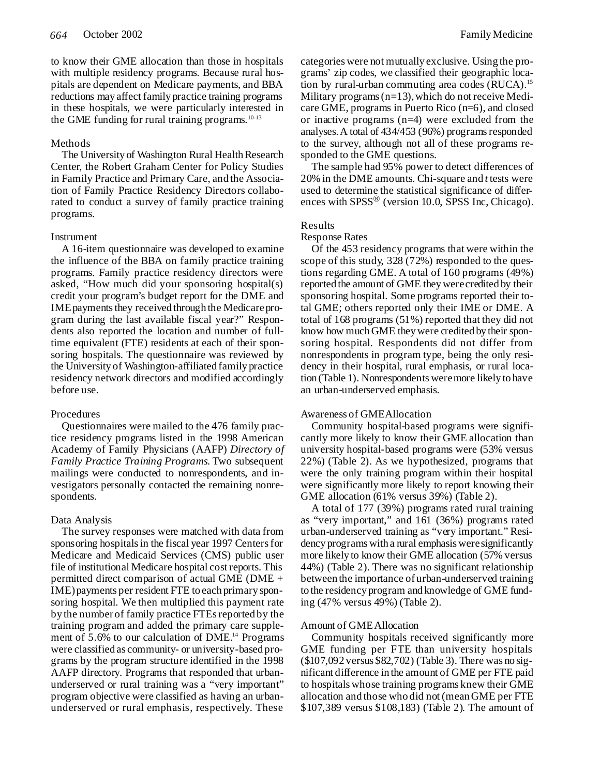to know their GME allocation than those in hospitals with multiple residency programs. Because rural hospitals are dependent on Medicare payments, and BBA reductions may affect family practice training programs in these hospitals, we were particularly interested in the GME funding for rural training programs.<sup>10-13</sup>

### Methods

The University of Washington Rural Health Research Center, the Robert Graham Center for Policy Studies in Family Practice and Primary Care, and the Association of Family Practice Residency Directors collaborated to conduct a survey of family practice training programs.

### Instrument

A 16-item questionnaire was developed to examine the influence of the BBA on family practice training programs. Family practice residency directors were asked, "How much did your sponsoring hospital(s) credit your program's budget report for the DME and IME payments they received through the Medicare program during the last available fiscal year?" Respondents also reported the location and number of fulltime equivalent (FTE) residents at each of their sponsoring hospitals. The questionnaire was reviewed by the University of Washington-affiliated family practice residency network directors and modified accordingly before use.

# Procedures

Questionnaires were mailed to the 476 family practice residency programs listed in the 1998 American Academy of Family Physicians (AAFP) *Directory of Family Practice Training Programs.* Two subsequent mailings were conducted to nonrespondents, and investigators personally contacted the remaining nonrespondents.

# Data Analysis

The survey responses were matched with data from sponsoring hospitals in the fiscal year 1997 Centers for Medicare and Medicaid Services (CMS) public user file of institutional Medicare hospital cost reports. This permitted direct comparison of actual GME (DME + IME)payments per resident FTE to each primary sponsoring hospital. We then multiplied this payment rate by the numberof family practice FTEsreported by the training program and added the primary care supplement of 5.6% to our calculation of DME. <sup>14</sup> Programs were classified as community- or university-based programs by the program structure identified in the 1998 AAFP directory. Programs that responded that urbanunderserved or rural training was a "very important" program objective were classified as having an urbanunderserved or rural emphasis, respectively. These

categories were not mutually exclusive. Using the programs' zip codes, we classified their geographic location by rural-urban commuting area codes (RUCA). 15 Military programs  $(n=13)$ , which do not receive Medicare GME, programs in Puerto Rico (n=6), and closed or inactive programs (n=4) were excluded from the analyses. A total of 434/453 (96%) programs responded to the survey, although not all of these programs responded to the GME questions.

The sample had 95% power to detect differences of 20% in the DME amounts. Chi-square and *t* tests were used to determine the statistical significance of differences with SPSS<sup>®</sup> (version 10.0, SPSS Inc, Chicago).

# Results

#### Response Rates

Of the 453 residency programs that were within the scope of this study, 328 (72%) responded to the questions regarding GME. A total of 160 programs (49%) reported the amount of GME theywerecredited by their sponsoring hospital. Some programs reported their total GME; others reported only their IME or DME. A total of 168 programs (51%) reported that they did not know how muchGME theywere credited by their sponsoring hospital. Respondents did not differ from nonrespondents in program type, being the only residency in their hospital, rural emphasis, or rural location (Table 1). Nonrespondents weremore likely to have an urban-underserved emphasis.

### Awareness of GMEAllocation

Community hospital-based programs were significantly more likely to know their GME allocation than university hospital-based programs were (53% versus 22%) (Table 2). As we hypothesized, programs that were the only training program within their hospital were significantly more likely to report knowing their GME allocation (61% versus 39%) (Table 2).

A total of 177 (39%) programs rated rural training as "very important," and 161 (36%) programs rated urban-underserved training as "very important." Residency programs with a rural emphasis weresignificantly more likely to know their GME allocation (57% versus 44%) (Table 2). There was no significant relationship between the importance ofurban-underserved training to the residency program and knowledge of GME funding (47% versus 49%) (Table 2).

### Amount of GMEAllocation

Community hospitals received significantly more GME funding per FTE than university hospitals (\$107,092 versus \$82,702) (Table 3). There was no significant difference in the amount of GME per FTE paid to hospitals whose training programs knew their GME allocation and those who did not (meanGME per FTE \$107,389 versus \$108,183) (Table 2). The amount of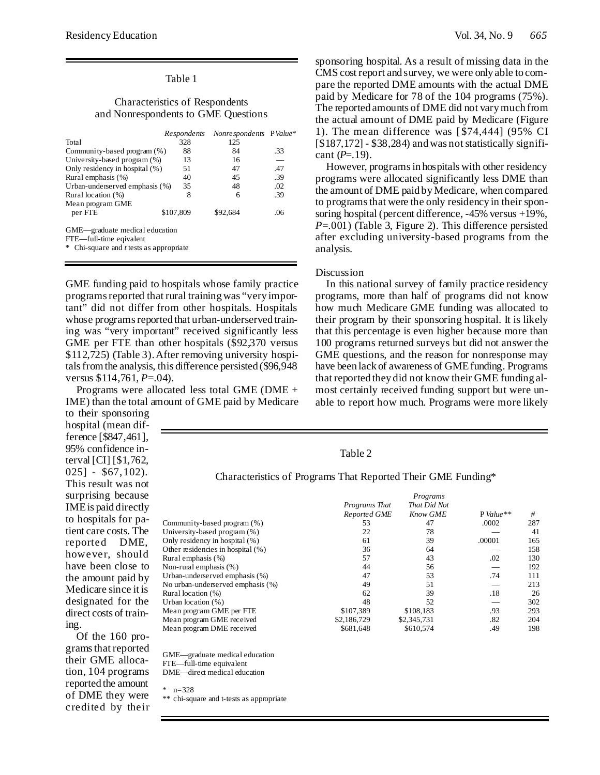#### Table 1

# Characteristics of Respondents and Nonrespondents to GME Questions

|                                                           | Respondents | Nonrespondents PValue* |     |  |  |  |  |
|-----------------------------------------------------------|-------------|------------------------|-----|--|--|--|--|
| Total                                                     | 328         | 125                    |     |  |  |  |  |
| Community-based program (%)                               | 88          | 84                     | .33 |  |  |  |  |
| University-based program (%)                              | 13          | 16                     |     |  |  |  |  |
| Only residency in hospital (%)                            | 51          | 47                     | .47 |  |  |  |  |
| Rural emphasis (%)                                        | 40          | 45                     | .39 |  |  |  |  |
| Urban-underserved emphasis (%)                            | 35          | 48                     | .02 |  |  |  |  |
| Rural location (%)                                        | 8           | 6                      | .39 |  |  |  |  |
| Mean program GME                                          |             |                        |     |  |  |  |  |
| per FTE                                                   | \$107.809   | \$92,684               | .06 |  |  |  |  |
| GME—graduate medical education<br>FTE—full-time eqivalent |             |                        |     |  |  |  |  |

\* Chi-square and *t* tests as appropriate

GME funding paid to hospitals whose family practice programs reported that rural training was "very important" did not differ from other hospitals. Hospitals whose programs reported that urban-underserved training was "very important" received significantly less GME per FTE than other hospitals (\$92,370 versus \$112,725) (Table 3).After removing university hospitalsfromthe analysis, this difference persisted (\$96,948 versus \$114,761, *P*=.04).

Programs were allocated less total GME (DME + IME) than the total amount of GME paid by Medicare Vol. 34, No. 9 *665*

sponsoring hospital. As a result of missing data in the CMS cost report and survey, we were only able to compare the reported DME amounts with the actual DME paid by Medicare for 78 of the 104 programs (75%). The reported amounts of DME did not varymuch from the actual amount of DME paid by Medicare (Figure 1). The mean difference was [\$74,444] (95% CI  $[$187,172] - $38,284$  and was not statistically significant (*P*=.19).

However, programsin hospitals with other residency programs were allocated significantly less DME than the amount of DME paid by Medicare, when compared to programs that were the only residency in their sponsoring hospital (percent difference, -45% versus +19%, *P*=.001) (Table 3, Figure 2). This difference persisted after excluding university-based programs from the analysis.

### Discussion

In this national survey of family practice residency programs, more than half of programs did not know how much Medicare GME funding was allocated to their program by their sponsoring hospital. It is likely that this percentage is even higher because more than 100 programs returned surveys but did not answer the GME questions, and the reason for nonresponse may have been lack of awareness of GMEfunding. Programs that reported they did not know their GME funding almost certainly received funding support but were unable to report how much. Programs were more likely

to their sponsoring hospital (mean difference [\$847,461], 95% confidence interval [CI] [\$1,762,  $025$ ] - \$67,102). This result was not surprising because IMEis paid directly to hospitals for patient care costs. The reported DME, however, should have been close to the amount paid by Medicare since it is designated for the direct costs of training.

Of the 160 programsthat reported their GME allocation, 104 programs reported the amount of DME they were credited by their Table 2

Characteristics of Programs That Reported Their GME Funding\*

|                     | Programs        |             |     |
|---------------------|-----------------|-------------|-----|
| Programs That       | That Did Not    |             |     |
| <b>Reported GME</b> | <b>Know GME</b> | $P Value**$ | #   |
| 53                  | 47              | .0002       | 287 |
| 22                  | 78              |             | 41  |
| 61                  | 39              | .00001      | 165 |
| 36                  | 64              |             | 158 |
| 57                  | 43              | .02         | 130 |
| 44                  | 56              |             | 192 |
| 47                  | 53              | .74         | 111 |
| 49                  | 51              |             | 213 |
| 62                  | 39              | .18         | 26  |
| 48                  | 52              |             | 302 |
| \$107,389           | \$108,183       | .93         | 293 |
| \$2,186,729         | \$2,345,731     | .82         | 204 |
| \$681,648           | \$610,574       | .49         | 198 |
|                     |                 |             |     |

\* n=328

Community-based program (%) University-based program (%) Only residency in hospital  $(\%)$ Other residencies in hospital (%)

Rural emphasis (%) Non-rural emphasis (%) Urban-underserved emphasis (%) No urban-underserved emphasis (%)

Rural location (%) Urban location  $(%)$ Mean program GME per FTE Mean program GME received Mean program DME received

\*\* chi-square and t-tests as appropriate

GME—graduate medical education FTE—full-time equivalent DME—direct medical education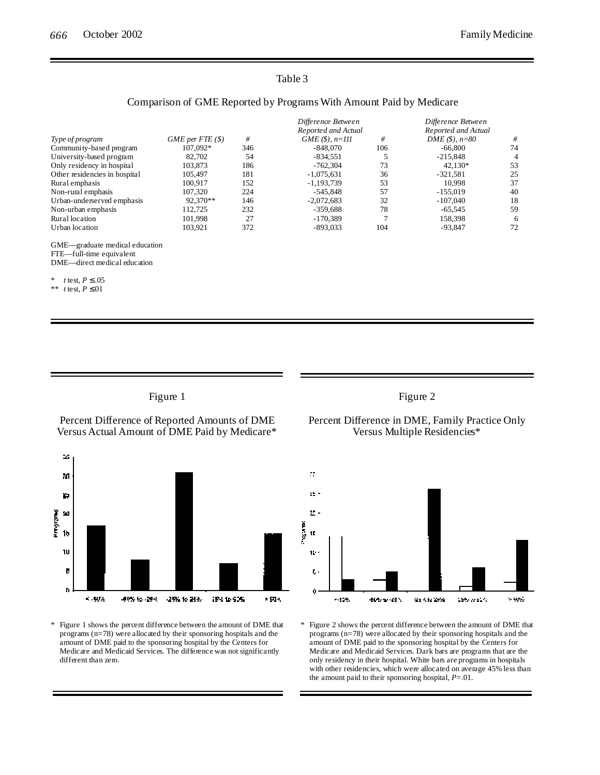## Table 3

# Comparison of GME Reported by Programs With Amount Paid by Medicare

|                               |                      |     | Difference Between<br>Reported and Actual<br>$GME($), n=111$<br># |     | Difference Between<br>Reported and Actual |    |
|-------------------------------|----------------------|-----|-------------------------------------------------------------------|-----|-------------------------------------------|----|
| Type of program               | $GME$ per FTE $(\$)$ | #   |                                                                   |     | $DME$ (\$), $n=80$                        |    |
| Community-based program       | 107.092*             | 346 | $-848,070$                                                        | 106 | $-66,800$                                 | 74 |
| University-based program      | 82,702               | 54  | $-834.551$                                                        |     | $-215.848$                                | 4  |
| Only residency in hospital    | 103.873              | 186 | $-762.304$                                                        | 73  | $42.130*$                                 | 53 |
| Other residencies in hospital | 105.497              | 181 | $-1.075.631$                                                      | 36  | $-321.581$                                | 25 |
| Rural emphasis                | 100.917              | 152 | $-1.193.739$                                                      | 53  | 10.998                                    | 37 |
| Non-rural emphasis            | 107.320              | 224 | $-545.848$                                                        | 57  | $-155.019$                                | 40 |
| Urban-underserved emphasis    | 92.370**             | 146 | $-2.072.683$                                                      | 32  | $-107,040$                                | 18 |
| Non-urban emphasis            | 112.725              | 232 | $-359.688$                                                        | 78  | $-65.545$                                 | 59 |
| Rural location                | 101.998              | 27  | $-170,389$                                                        |     | 158,398                                   | 6  |
| Urban location                | 103.921              | 372 | $-893.033$                                                        | 104 | $-93.847$                                 | 72 |

GME—graduate medical education FTE—full-time equivalent DME—direct medical education

*t* test,  $P \le .05$ 

\*\* *t* test, *P* ≤.01

# Figure 1





\* Figure 1 shows the percent difference between the amount of DME that programs (n=78) were allocated by their sponsoring hospitals and the amount of DME paid to the sponsoring hospital by the Centers for Medicare and Medicaid Services. The difference was not significantly different than zero.

Figure 2

# Percent Difference in DME, Family Practice Only Versus Multiple Residencies\*



\* Figure 2 shows the percent difference between the amount of DME that programs (n=78) were allocated by their sponsoring hospitals and the amount of DME paid to the sponsoring hospital by the Centers for Medicare and Medicaid Services. Dark bars are programs that are the only residency in their hospital. White bars are programs in hospitals with other residencies, which were allocated on average 45% less than the amount paid to their sponsoring hospital, *P*=.01.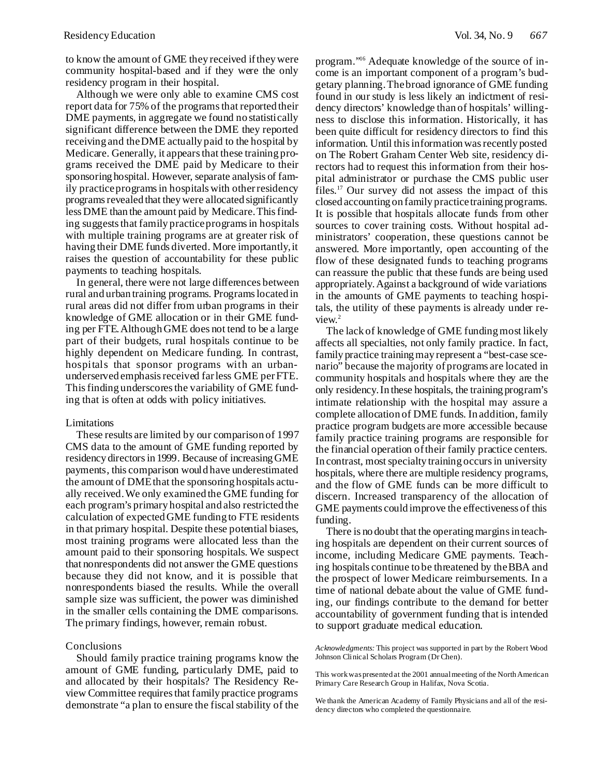to know the amount of GME they received iftheywere community hospital-based and if they were the only residency program in their hospital.

Although we were only able to examine CMS cost report data for 75% of the programs that reported their DME payments, in aggregate we found no statistically significant difference between the DME they reported receiving and theDME actually paid to the hospital by Medicare. Generally, it appears that these training programs received the DME paid by Medicare to their sponsoring hospital. However, separate analysis of family practiceprogramsin hospitals with otherresidency programs revealed that they were allocated significantly less DME than the amount paid by Medicare.Thisfinding suggests that family practice programs in hospitals with multiple training programs are at greater risk of having their DME funds diverted. More importantly,it raises the question of accountability for these public payments to teaching hospitals.

In general, there were not large differences between rural and urban training programs. Programslocated in rural areas did not differ from urban programs in their knowledge of GME allocation or in their GME funding per FTE.AlthoughGME does not tend to be a large part of their budgets, rural hospitals continue to be highly dependent on Medicare funding. In contrast, hospitals that sponsor programs with an urbanunderserved emphasisreceived farless GME perFTE. This finding underscores the variability of GME funding that is often at odds with policy initiatives.

### Limitations

These results are limited by our comparison of 1997 CMS data to the amount of GME funding reported by residency directorsin 1999. Because of increasingGME payments, this comparison would have underestimated the amount of DMEthat the sponsoring hospitals actually received.We only examined the GME funding for each program's primary hospital and also restricted the calculation of expectedGME funding to FTE residents in that primary hospital. Despite these potential biases, most training programs were allocated less than the amount paid to their sponsoring hospitals. We suspect that nonrespondents did not answer the GME questions because they did not know, and it is possible that nonrespondents biased the results. While the overall sample size was sufficient, the power was diminished in the smaller cells containing the DME comparisons. The primary findings, however, remain robust.

# Conclusions

Should family practice training programs know the amount of GME funding, particularly DME, paid to and allocated by their hospitals? The Residency Review Committee requires that family practice programs demonstrate "a plan to ensure the fiscal stability of the

program." <sup>16</sup> Adequate knowledge of the source of income is an important component of a program's budgetary planning.Thebroad ignorance of GME funding found in our study is less likely an indictment of residency directors' knowledge than of hospitals' willingness to disclose this information. Historically, it has been quite difficult for residency directors to find this information. Until this information was recently posted on The Robert Graham Center Web site, residency directors had to request this information from their hospital administrator or purchase the CMS public user files. <sup>17</sup> Our survey did not assess the impact of this closed accounting on family practicetraining programs. It is possible that hospitals allocate funds from other sources to cover training costs. Without hospital administrators' cooperation, these questions cannot be answered. More importantly, open accounting of the flow of these designated funds to teaching programs can reassure the public that these funds are being used appropriately.Against a background of wide variations in the amounts of GME payments to teaching hospitals, the utility of these payments is already under review. 2

The lack of knowledge of GME funding most likely affects all specialties, not only family practice. In fact, family practice training may represent a "best-case scenario" because the majority ofprograms are located in community hospitals and hospitals where they are the only residency.In these hospitals, the training program's intimate relationship with the hospital may assure a complete allocation of DME funds. In addition, family practice program budgets are more accessible because family practice training programs are responsible for the financial operation oftheir family practice centers. In contrast, most specialty training occurs in university hospitals, where there are multiple residency programs, and the flow of GME funds can be more difficult to discern. Increased transparency of the allocation of GME payments could improve the effectiveness of this funding.

There is no doubt that the operating margins in teaching hospitals are dependent on their current sources of income, including Medicare GME payments. Teaching hospitals continue to be threatened by theBBA and the prospect of lower Medicare reimbursements. In a time of national debate about the value of GME funding, our findings contribute to the demand for better accountability of government funding that is intended to support graduate medical education.

*Acknowledgments:* This project was supported in part by the Robert Wood Johnson Clinical Scholars Program (Dr Chen).

This workwaspresentedat the 2001 annualmeeting of the NorthAmerican Primary Care Research Group in Halifax, Nova Scotia.

We thank the American Academy of Family Physicians and all of the residency directors who completed the questionnaire.